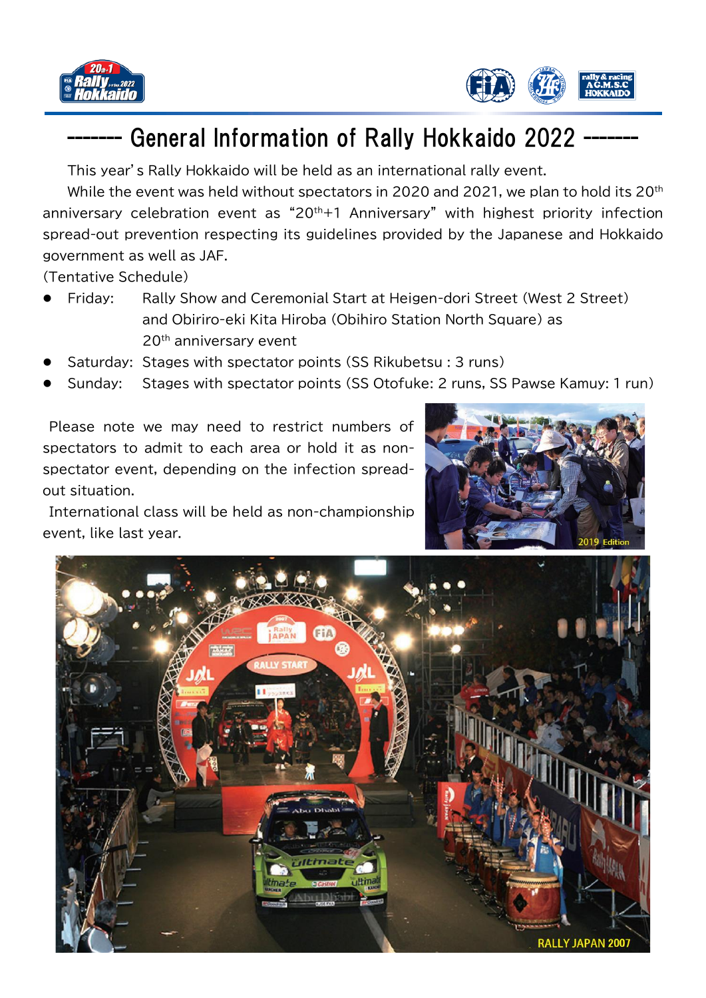



## General Information of Rally Hokkaido 2022 -

This year's Rally Hokkaido will be held as an international rally event.

While the event was held without spectators in 2020 and 2021, we plan to hold its 20<sup>th</sup> anniversary celebration event as " $20<sup>th</sup>+1$  Anniversary" with highest priority infection spread-out prevention respecting its guidelines provided by the Japanese and Hokkaido government as well as JAF.

(Tentative Schedule)

- ⚫ Friday: Rally Show and Ceremonial Start at Heigen-dori Street (West 2 Street) and Obiriro-eki Kita Hiroba (Obihiro Station North Square) as 20<sup>th</sup> anniversary event
- Saturday: Stages with spectator points (SS Rikubetsu : 3 runs)
- ⚫ Sunday: Stages with spectator points (SS Otofuke: 2 runs, SS Pawse Kamuy: 1 run)

Please note we may need to restrict numbers of spectators to admit to each area or hold it as nonspectator event, depending on the infection spreadout situation.

International class will be held as non-championship event, like last year.